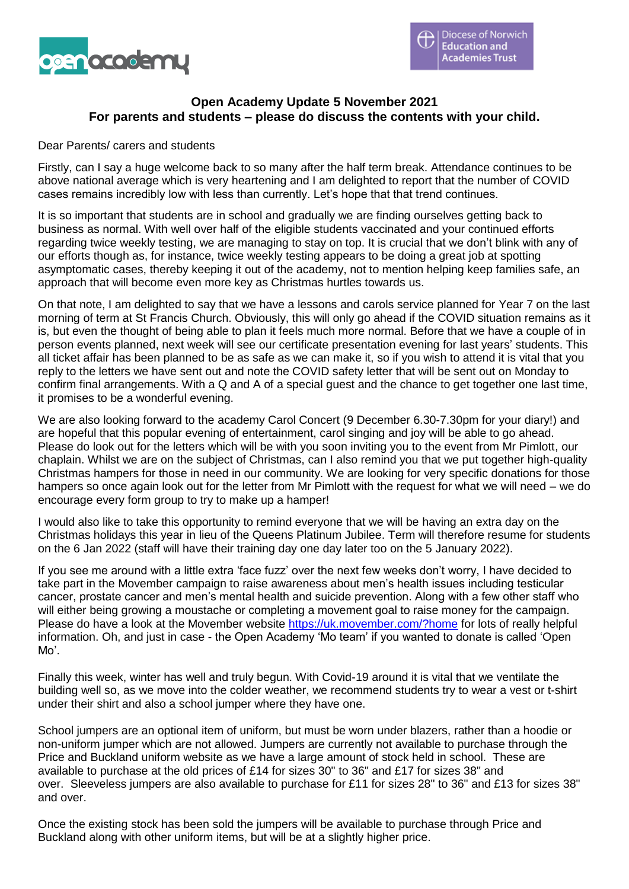

#### **Open Academy Update 5 November 2021 For parents and students – please do discuss the contents with your child.**

#### Dear Parents/ carers and students

Firstly, can I say a huge welcome back to so many after the half term break. Attendance continues to be above national average which is very heartening and I am delighted to report that the number of COVID cases remains incredibly low with less than currently. Let's hope that that trend continues.

It is so important that students are in school and gradually we are finding ourselves getting back to business as normal. With well over half of the eligible students vaccinated and your continued efforts regarding twice weekly testing, we are managing to stay on top. It is crucial that we don't blink with any of our efforts though as, for instance, twice weekly testing appears to be doing a great job at spotting asymptomatic cases, thereby keeping it out of the academy, not to mention helping keep families safe, an approach that will become even more key as Christmas hurtles towards us.

On that note, I am delighted to say that we have a lessons and carols service planned for Year 7 on the last morning of term at St Francis Church. Obviously, this will only go ahead if the COVID situation remains as it is, but even the thought of being able to plan it feels much more normal. Before that we have a couple of in person events planned, next week will see our certificate presentation evening for last years' students. This all ticket affair has been planned to be as safe as we can make it, so if you wish to attend it is vital that you reply to the letters we have sent out and note the COVID safety letter that will be sent out on Monday to confirm final arrangements. With a Q and A of a special guest and the chance to get together one last time, it promises to be a wonderful evening.

We are also looking forward to the academy Carol Concert (9 December 6.30-7.30pm for your diary!) and are hopeful that this popular evening of entertainment, carol singing and joy will be able to go ahead. Please do look out for the letters which will be with you soon inviting you to the event from Mr Pimlott, our chaplain. Whilst we are on the subject of Christmas, can I also remind you that we put together high-quality Christmas hampers for those in need in our community. We are looking for very specific donations for those hampers so once again look out for the letter from Mr Pimlott with the request for what we will need – we do encourage every form group to try to make up a hamper!

I would also like to take this opportunity to remind everyone that we will be having an extra day on the Christmas holidays this year in lieu of the Queens Platinum Jubilee. Term will therefore resume for students on the 6 Jan 2022 (staff will have their training day one day later too on the 5 January 2022).

If you see me around with a little extra 'face fuzz' over the next few weeks don't worry, I have decided to take part in the Movember campaign to raise awareness about men's health issues including testicular cancer, prostate cancer and men's mental health and suicide prevention. Along with a few other staff who will either being growing a moustache or completing a movement goal to raise money for the campaign. Please do have a look at the Movember website <https://uk.movember.com/?home> for lots of really helpful information. Oh, and just in case - the Open Academy 'Mo team' if you wanted to donate is called 'Open Mo'.

Finally this week, winter has well and truly begun. With Covid-19 around it is vital that we ventilate the building well so, as we move into the colder weather, we recommend students try to wear a vest or t-shirt under their shirt and also a school jumper where they have one.

School jumpers are an optional item of uniform, but must be worn under blazers, rather than a hoodie or non-uniform jumper which are not allowed. Jumpers are currently not available to purchase through the Price and Buckland uniform website as we have a large amount of stock held in school. These are available to purchase at the old prices of £14 for sizes 30" to 36" and £17 for sizes 38" and over. Sleeveless jumpers are also available to purchase for £11 for sizes 28" to 36" and £13 for sizes 38" and over.

Once the existing stock has been sold the jumpers will be available to purchase through Price and Buckland along with other uniform items, but will be at a slightly higher price.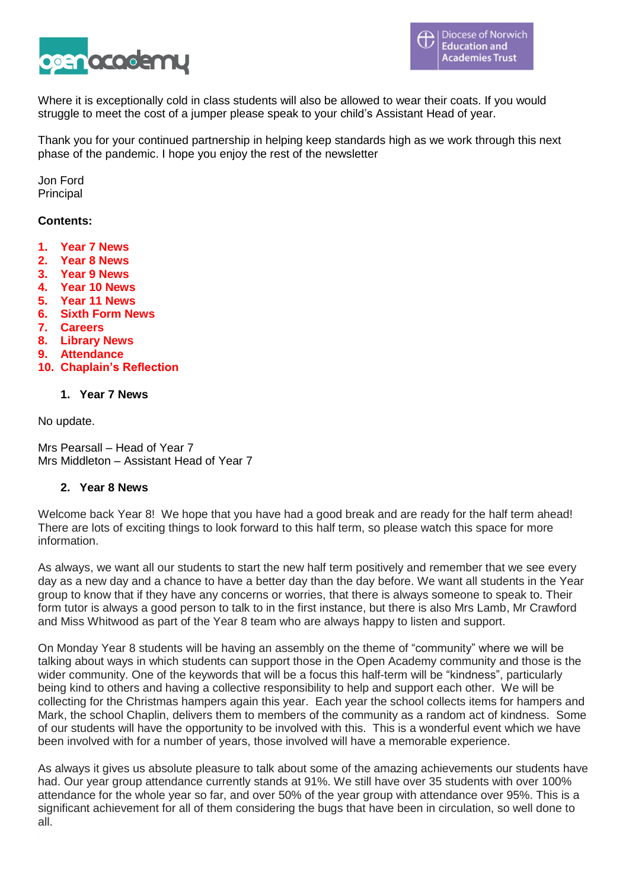

Where it is exceptionally cold in class students will also be allowed to wear their coats. If you would struggle to meet the cost of a jumper please speak to your child's Assistant Head of year.

Thank you for your continued partnership in helping keep standards high as we work through this next phase of the pandemic. I hope you enjoy the rest of the newsletter

Jon Ford Principal

#### **Contents:**

- **1. Year 7 News**
- **2. Year 8 News**
- **3. Year 9 News**
- **4. Year 10 News**
- **5. Year 11 News**
- **6. Sixth Form News**
- **7. Careers**
- **8. Library News**
- **9. Attendance**
- **10. Chaplain's Reflection**

#### **1. Year 7 News**

No update.

Mrs Pearsall – Head of Year 7 Mrs Middleton – Assistant Head of Year 7

#### **2. Year 8 News**

Welcome back Year 8! We hope that you have had a good break and are ready for the half term ahead! There are lots of exciting things to look forward to this half term, so please watch this space for more information.

As always, we want all our students to start the new half term positively and remember that we see every day as a new day and a chance to have a better day than the day before. We want all students in the Year group to know that if they have any concerns or worries, that there is always someone to speak to. Their form tutor is always a good person to talk to in the first instance, but there is also Mrs Lamb, Mr Crawford and Miss Whitwood as part of the Year 8 team who are always happy to listen and support.

On Monday Year 8 students will be having an assembly on the theme of "community" where we will be talking about ways in which students can support those in the Open Academy community and those is the wider community. One of the keywords that will be a focus this half-term will be "kindness", particularly being kind to others and having a collective responsibility to help and support each other. We will be collecting for the Christmas hampers again this year. Each year the school collects items for hampers and Mark, the school Chaplin, delivers them to members of the community as a random act of kindness. Some of our students will have the opportunity to be involved with this. This is a wonderful event which we have been involved with for a number of years, those involved will have a memorable experience.

As always it gives us absolute pleasure to talk about some of the amazing achievements our students have had. Our year group attendance currently stands at 91%. We still have over 35 students with over 100% attendance for the whole year so far, and over 50% of the year group with attendance over 95%. This is a significant achievement for all of them considering the bugs that have been in circulation, so well done to all.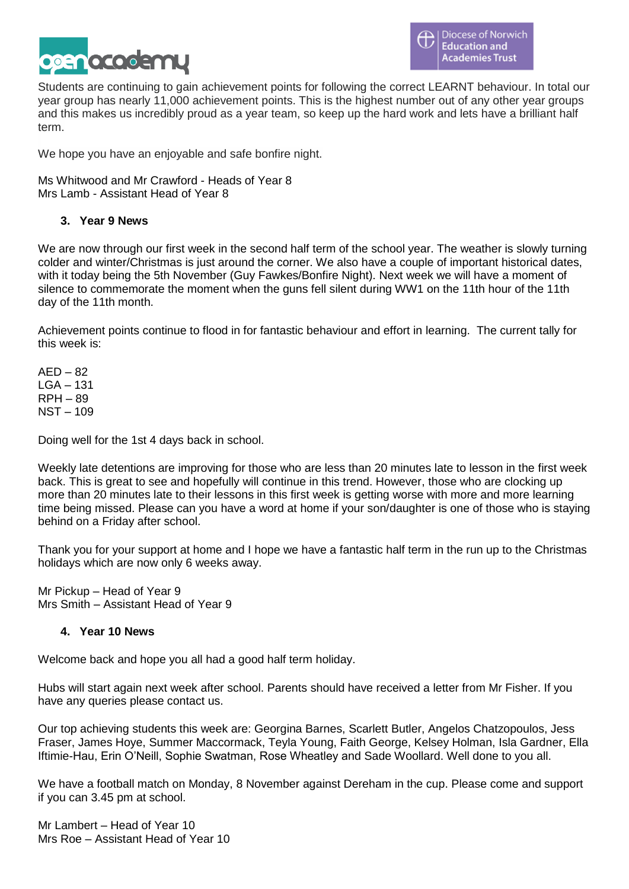

Students are continuing to gain achievement points for following the correct LEARNT behaviour. In total our year group has nearly 11,000 achievement points. This is the highest number out of any other year groups and this makes us incredibly proud as a year team, so keep up the hard work and lets have a brilliant half term.

We hope you have an enjoyable and safe bonfire night.

Ms Whitwood and Mr Crawford - Heads of Year 8 Mrs Lamb - Assistant Head of Year 8

#### **3. Year 9 News**

We are now through our first week in the second half term of the school year. The weather is slowly turning colder and winter/Christmas is just around the corner. We also have a couple of important historical dates, with it today being the 5th November (Guy Fawkes/Bonfire Night). Next week we will have a moment of silence to commemorate the moment when the guns fell silent during WW1 on the 11th hour of the 11th day of the 11th month.

Achievement points continue to flood in for fantastic behaviour and effort in learning. The current tally for this week is:

 $AFD - 82$  $LGA - 131$ RPH – 89 NST – 109

Doing well for the 1st 4 days back in school.

Weekly late detentions are improving for those who are less than 20 minutes late to lesson in the first week back. This is great to see and hopefully will continue in this trend. However, those who are clocking up more than 20 minutes late to their lessons in this first week is getting worse with more and more learning time being missed. Please can you have a word at home if your son/daughter is one of those who is staying behind on a Friday after school.

Thank you for your support at home and I hope we have a fantastic half term in the run up to the Christmas holidays which are now only 6 weeks away.

Mr Pickup – Head of Year 9 Mrs Smith – Assistant Head of Year 9

#### **4. Year 10 News**

Welcome back and hope you all had a good half term holiday.

Hubs will start again next week after school. Parents should have received a letter from Mr Fisher. If you have any queries please contact us.

Our top achieving students this week are: Georgina Barnes, Scarlett Butler, Angelos Chatzopoulos, Jess Fraser, James Hoye, Summer Maccormack, Teyla Young, Faith George, Kelsey Holman, Isla Gardner, Ella Iftimie-Hau, Erin O'Neill, Sophie Swatman, Rose Wheatley and Sade Woollard. Well done to you all.

We have a football match on Monday, 8 November against Dereham in the cup. Please come and support if you can 3.45 pm at school.

Mr Lambert – Head of Year 10 Mrs Roe – Assistant Head of Year 10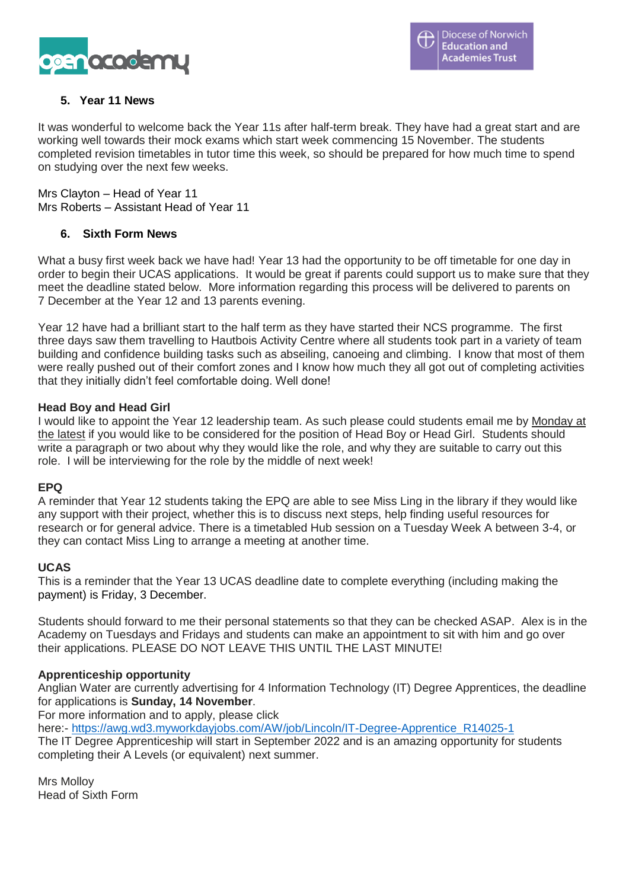

### **5. Year 11 News**

It was wonderful to welcome back the Year 11s after half-term break. They have had a great start and are working well towards their mock exams which start week commencing 15 November. The students completed revision timetables in tutor time this week, so should be prepared for how much time to spend on studying over the next few weeks.

Mrs Clayton – Head of Year 11 Mrs Roberts – Assistant Head of Year 11

#### **6. Sixth Form News**

What a busy first week back we have had! Year 13 had the opportunity to be off timetable for one day in order to begin their UCAS applications. It would be great if parents could support us to make sure that they meet the deadline stated below. More information regarding this process will be delivered to parents on 7 December at the Year 12 and 13 parents evening.

Year 12 have had a brilliant start to the half term as they have started their NCS programme. The first three days saw them travelling to Hautbois Activity Centre where all students took part in a variety of team building and confidence building tasks such as abseiling, canoeing and climbing. I know that most of them were really pushed out of their comfort zones and I know how much they all got out of completing activities that they initially didn't feel comfortable doing. Well done!

#### **Head Boy and Head Girl**

I would like to appoint the Year 12 leadership team. As such please could students email me by Monday at the latest if you would like to be considered for the position of Head Boy or Head Girl. Students should write a paragraph or two about why they would like the role, and why they are suitable to carry out this role. I will be interviewing for the role by the middle of next week!

#### **EPQ**

A reminder that Year 12 students taking the EPQ are able to see Miss Ling in the library if they would like any support with their project, whether this is to discuss next steps, help finding useful resources for research or for general advice. There is a timetabled Hub session on a Tuesday Week A between 3-4, or they can contact Miss Ling to arrange a meeting at another time.

#### **UCAS**

This is a reminder that the Year 13 UCAS deadline date to complete everything (including making the payment) is Friday, 3 December.

Students should forward to me their personal statements so that they can be checked ASAP. Alex is in the Academy on Tuesdays and Fridays and students can make an appointment to sit with him and go over their applications. PLEASE DO NOT LEAVE THIS UNTIL THE LAST MINUTE!

#### **Apprenticeship opportunity**

Anglian Water are currently advertising for 4 Information Technology (IT) Degree Apprentices, the deadline for applications is **Sunday, 14 November**.

For more information and to apply, please click

here:- [https://awg.wd3.myworkdayjobs.com/AW/job/Lincoln/IT-Degree-Apprentice\\_R14025-1](https://awg.wd3.myworkdayjobs.com/AW/job/Lincoln/IT-Degree-Apprentice_R14025-1)

The IT Degree Apprenticeship will start in September 2022 and is an amazing opportunity for students completing their A Levels (or equivalent) next summer.

Mrs Molloy Head of Sixth Form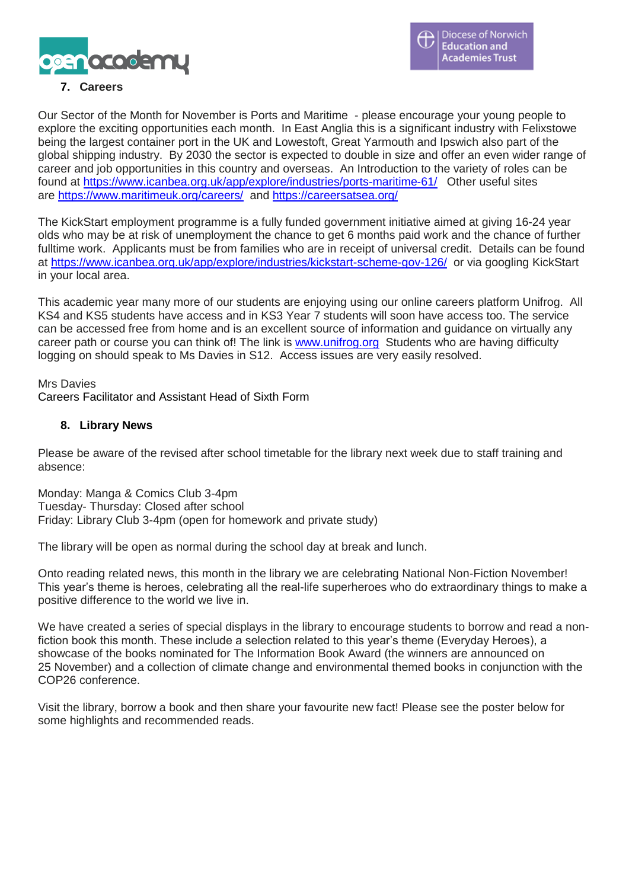

## **7. Careers**

Our Sector of the Month for November is Ports and Maritime - please encourage your young people to explore the exciting opportunities each month. In East Anglia this is a significant industry with Felixstowe being the largest container port in the UK and Lowestoft, Great Yarmouth and Ipswich also part of the global shipping industry. By 2030 the sector is expected to double in size and offer an even wider range of career and job opportunities in this country and overseas. An Introduction to the variety of roles can be found at <https://www.icanbea.org.uk/app/explore/industries/ports-maritime-61/>Other useful sites are <https://www.maritimeuk.org/careers/> and <https://careersatsea.org/>

The KickStart employment programme is a fully funded government initiative aimed at giving 16-24 year olds who may be at risk of unemployment the chance to get 6 months paid work and the chance of further fulltime work. Applicants must be from families who are in receipt of universal credit. Details can be found at <https://www.icanbea.org.uk/app/explore/industries/kickstart-scheme-gov-126/> or via googling KickStart in your local area.

This academic year many more of our students are enjoying using our online careers platform Unifrog. All KS4 and KS5 students have access and in KS3 Year 7 students will soon have access too. The service can be accessed free from home and is an excellent source of information and guidance on virtually any career path or course you can think of! The link is [www.unifrog.org](http://www.unifrog.org/) Students who are having difficulty logging on should speak to Ms Davies in S12. Access issues are very easily resolved.

Mrs Davies

Careers Facilitator and Assistant Head of Sixth Form

#### **8. Library News**

Please be aware of the revised after school timetable for the library next week due to staff training and absence:

Monday: Manga & Comics Club 3-4pm Tuesday- Thursday: Closed after school Friday: Library Club 3-4pm (open for homework and private study)

The library will be open as normal during the school day at break and lunch.

Onto reading related news, this month in the library we are celebrating National Non-Fiction November! This year's theme is heroes, celebrating all the real-life superheroes who do extraordinary things to make a positive difference to the world we live in.

We have created a series of special displays in the library to encourage students to borrow and read a nonfiction book this month. These include a selection related to this year's theme (Everyday Heroes), a showcase of the books nominated for The Information Book Award (the winners are announced on 25 November) and a collection of climate change and environmental themed books in conjunction with the COP26 conference.

Visit the library, borrow a book and then share your favourite new fact! Please see the poster below for some highlights and recommended reads.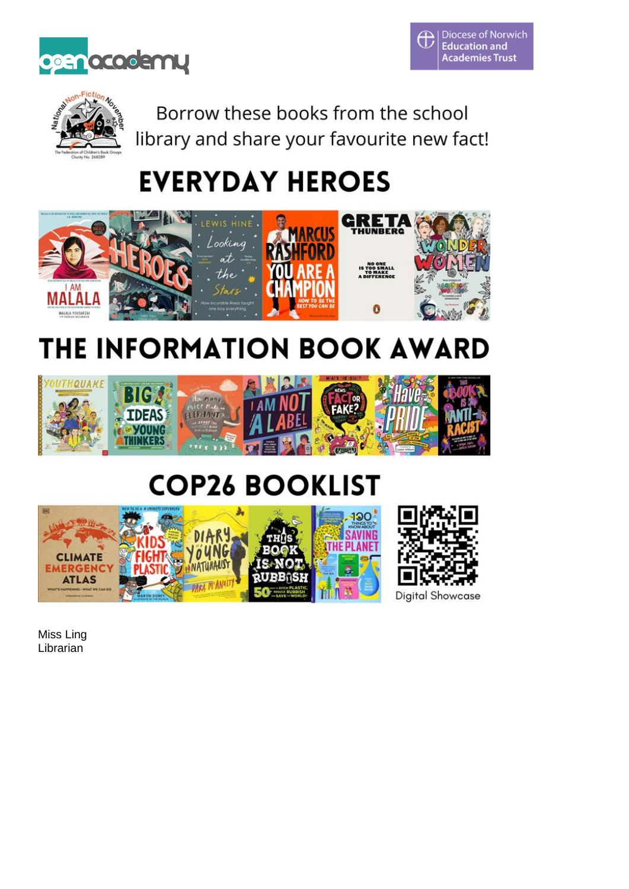





Borrow these books from the school library and share your favourite new fact!

# **EVERYDAY HEROES**



# THE INFORMATION BOOK AWARD



## **COP26 BOOKLIST**



Miss Ling **Librarian**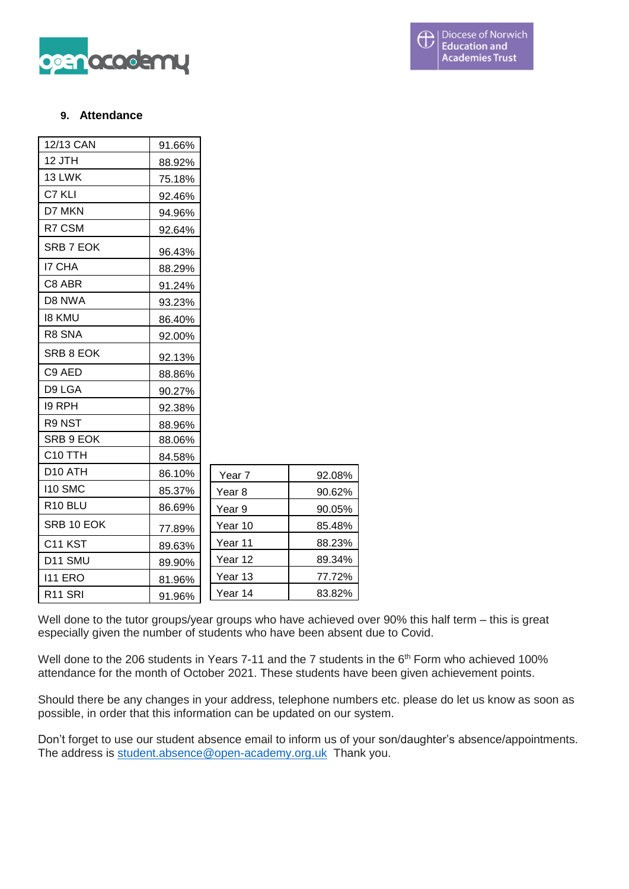

#### **9. Attendance**

| 12/13 CAN           | 91.66% |                   |        |
|---------------------|--------|-------------------|--------|
| 12 JTH              | 88.92% |                   |        |
| 13 LWK              | 75.18% |                   |        |
| C7 KLI              | 92.46% |                   |        |
| D7 MKN              | 94.96% |                   |        |
| R7 CSM              | 92.64% |                   |        |
| SRB 7 EOK           | 96.43% |                   |        |
| <b>I7 CHA</b>       | 88.29% |                   |        |
| C8 ABR              | 91.24% |                   |        |
| D8 NWA              | 93.23% |                   |        |
| <b>18 KMU</b>       | 86.40% |                   |        |
| R8 SNA              | 92.00% |                   |        |
| SRB 8 EOK           | 92.13% |                   |        |
| C9 AED              | 88.86% |                   |        |
| D9 LGA              | 90.27% |                   |        |
| <b>I9 RPH</b>       | 92.38% |                   |        |
| R9 NST              | 88.96% |                   |        |
| SRB 9 EOK           | 88.06% |                   |        |
| C <sub>10</sub> TTH | 84.58% |                   |        |
| D <sub>10</sub> ATH | 86.10% | Year <sub>7</sub> | 92.08% |
| <b>I10 SMC</b>      | 85.37% | Year <sub>8</sub> | 90.62% |
| R <sub>10</sub> BLU | 86.69% | Year 9            | 90.05% |
| SRB 10 EOK          | 77.89% | Year 10           | 85.48% |
| C <sub>11</sub> KST | 89.63% | Year 11           | 88.23% |
| D11 SMU             | 89.90% | Year 12           | 89.34% |
| <b>I11 ERO</b>      | 81.96% | Year 13           | 77.72% |
| R <sub>11</sub> SRI | 91.96% | Year 14           | 83.82% |

Well done to the tutor groups/year groups who have achieved over 90% this half term – this is great especially given the number of students who have been absent due to Covid.

Well done to the 206 students in Years 7-11 and the 7 students in the 6<sup>th</sup> Form who achieved 100% attendance for the month of October 2021. These students have been given achievement points.

Should there be any changes in your address, telephone numbers etc. please do let us know as soon as possible, in order that this information can be updated on our system.

Don't forget to use our student absence email to inform us of your son/daughter's absence/appointments. The address is [student.absence@open-academy.org.uk](mailto:student.absence@open-academy.org.uk) Thank you.